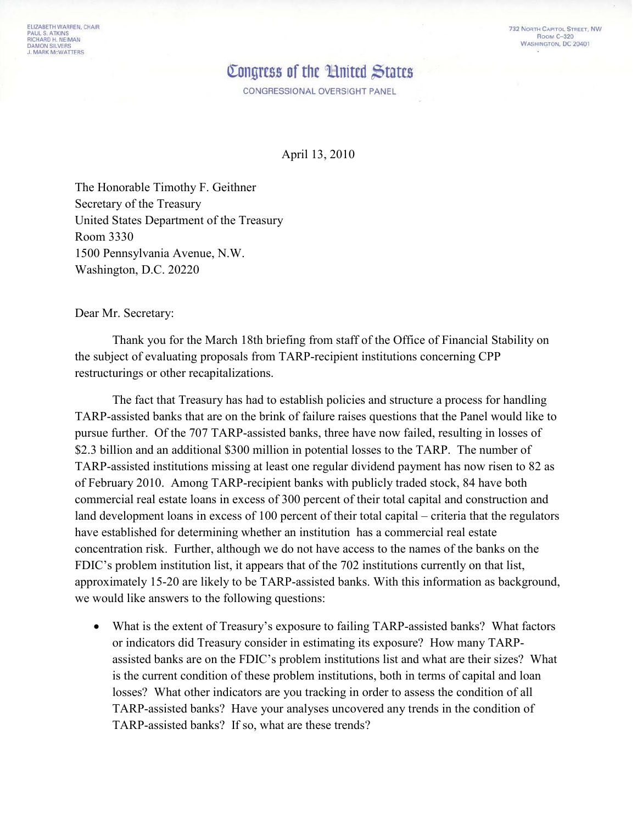## Congress of the 'Hnited States'

CONGRESSIONAL OVERSIGHT PANEL

April 13, 2010

The Honorable Timothy F. Geithner Secretary of the Treasury United States Department of the Treasury Room 3330 1500 Pennsylvania Avenue, N.W. Washington, D.C. 20220

Dear Mr. Secretary:

Thank you for the March 18th briefing from staff of the Office of Financial Stability on the subject of evaluating proposals from TARP-recipient institutions concerning CPP restructurings or other recapitalizations.

The fact that Treasury has had to establish policies and structure a process for handling TARP-assisted banks that are on the brink of failure raises questions that the Panel would like to pursue further. Of the 707 TARP-assisted banks, three have now failed, resulting in losses of \$2.3 billion and an additional \$300 million in potential losses to the TARP. The number of TARP-assisted institutions missing at least one regular dividend payment has now risen to 82 as of February 2010. Among TARP-recipient banks with publicly traded stock, 84 have both commercial real estate loans in excess of 300 percent of their total capital and construction and land development loans in excess of 100 percent of their total capital – criteria that the regulators have established for determining whether an institution has a commercial real estate concentration risk. Further, although we do not have access to the names of the banks on the FDIC's problem institution list, it appears that of the 702 institutions currently on that list, approximately 15-20 are likely to be TARP-assisted banks. With this information as background, we would like answers to the following questions:

• What is the extent of Treasury's exposure to failing TARP-assisted banks? What factors or indicators did Treasury consider in estimating its exposure? How many TARPassisted banks are on the FDIC's problem institutions list and what are their sizes? What is the current condition of these problem institutions, both in terms of capital and loan losses? What other indicators are you tracking in order to assess the condition of all TARP-assisted banks? Have your analyses uncovered any trends in the condition of TARP-assisted banks? If so, what are these trends?